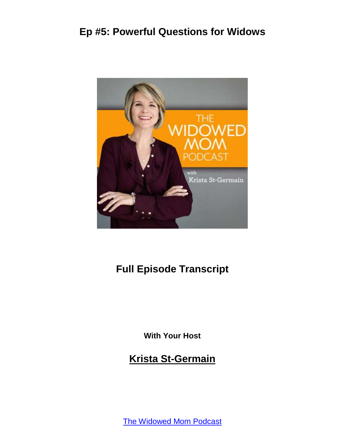

# **Full Episode Transcript**

**With Your Host**

**Krista St-Germain**

[The Widowed Mom Podcast](https://coachingwithkrista.com/podcast)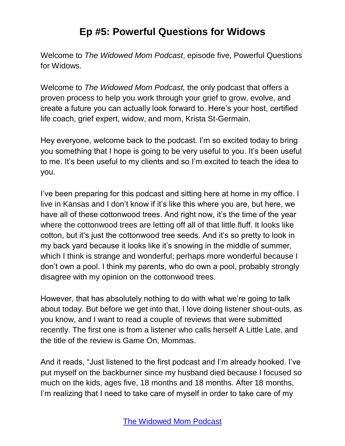Welcome to *The Widowed Mom Podcast*, episode five, Powerful Questions for Widows.

Welcome to *The Widowed Mom Podcast,* the only podcast that offers a proven process to help you work through your grief to grow, evolve, and create a future you can actually look forward to. Here's your host, certified life coach, grief expert, widow, and mom, Krista St-Germain.

Hey everyone, welcome back to the podcast. I'm so excited today to bring you something that I hope is going to be very useful to you. It's been useful to me. It's been useful to my clients and so I'm excited to teach the idea to you.

I've been preparing for this podcast and sitting here at home in my office. I live in Kansas and I don't know if it's like this where you are, but here, we have all of these cottonwood trees. And right now, it's the time of the year where the cottonwood trees are letting off all of that little fluff. It looks like cotton, but it's just the cottonwood tree seeds. And it's so pretty to look in my back yard because it looks like it's snowing in the middle of summer, which I think is strange and wonderful; perhaps more wonderful because I don't own a pool. I think my parents, who do own a pool, probably strongly disagree with my opinion on the cottonwood trees.

However, that has absolutely nothing to do with what we're going to talk about today. But before we get into that, I love doing listener shout-outs, as you know, and I want to read a couple of reviews that were submitted recently. The first one is from a listener who calls herself A Little Late, and the title of the review is Game On, Mommas.

And it reads, "Just listened to the first podcast and I'm already hooked. I've put myself on the backburner since my husband died because I focused so much on the kids, ages five, 18 months and 18 months. After 18 months, I'm realizing that I need to take care of myself in order to take care of my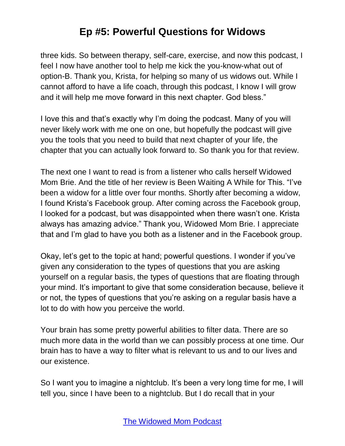three kids. So between therapy, self-care, exercise, and now this podcast, I feel I now have another tool to help me kick the you-know-what out of option-B. Thank you, Krista, for helping so many of us widows out. While I cannot afford to have a life coach, through this podcast, I know I will grow and it will help me move forward in this next chapter. God bless."

I love this and that's exactly why I'm doing the podcast. Many of you will never likely work with me one on one, but hopefully the podcast will give you the tools that you need to build that next chapter of your life, the chapter that you can actually look forward to. So thank you for that review.

The next one I want to read is from a listener who calls herself Widowed Mom Brie. And the title of her review is Been Waiting A While for This. "I've been a widow for a little over four months. Shortly after becoming a widow, I found Krista's Facebook group. After coming across the Facebook group, I looked for a podcast, but was disappointed when there wasn't one. Krista always has amazing advice." Thank you, Widowed Mom Brie. I appreciate that and I'm glad to have you both as a listener and in the Facebook group.

Okay, let's get to the topic at hand; powerful questions. I wonder if you've given any consideration to the types of questions that you are asking yourself on a regular basis, the types of questions that are floating through your mind. It's important to give that some consideration because, believe it or not, the types of questions that you're asking on a regular basis have a lot to do with how you perceive the world.

Your brain has some pretty powerful abilities to filter data. There are so much more data in the world than we can possibly process at one time. Our brain has to have a way to filter what is relevant to us and to our lives and our existence.

So I want you to imagine a nightclub. It's been a very long time for me, I will tell you, since I have been to a nightclub. But I do recall that in your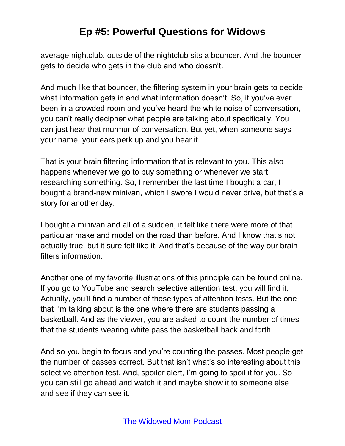average nightclub, outside of the nightclub sits a bouncer. And the bouncer gets to decide who gets in the club and who doesn't.

And much like that bouncer, the filtering system in your brain gets to decide what information gets in and what information doesn't. So, if you've ever been in a crowded room and you've heard the white noise of conversation, you can't really decipher what people are talking about specifically. You can just hear that murmur of conversation. But yet, when someone says your name, your ears perk up and you hear it.

That is your brain filtering information that is relevant to you. This also happens whenever we go to buy something or whenever we start researching something. So, I remember the last time I bought a car, I bought a brand-new minivan, which I swore I would never drive, but that's a story for another day.

I bought a minivan and all of a sudden, it felt like there were more of that particular make and model on the road than before. And I know that's not actually true, but it sure felt like it. And that's because of the way our brain filters information.

Another one of my favorite illustrations of this principle can be found online. If you go to YouTube and search selective attention test, you will find it. Actually, you'll find a number of these types of attention tests. But the one that I'm talking about is the one where there are students passing a basketball. And as the viewer, you are asked to count the number of times that the students wearing white pass the basketball back and forth.

And so you begin to focus and you're counting the passes. Most people get the number of passes correct. But that isn't what's so interesting about this selective attention test. And, spoiler alert, I'm going to spoil it for you. So you can still go ahead and watch it and maybe show it to someone else and see if they can see it.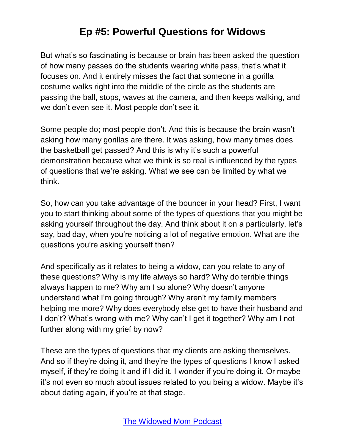But what's so fascinating is because or brain has been asked the question of how many passes do the students wearing white pass, that's what it focuses on. And it entirely misses the fact that someone in a gorilla costume walks right into the middle of the circle as the students are passing the ball, stops, waves at the camera, and then keeps walking, and we don't even see it. Most people don't see it.

Some people do; most people don't. And this is because the brain wasn't asking how many gorillas are there. It was asking, how many times does the basketball get passed? And this is why it's such a powerful demonstration because what we think is so real is influenced by the types of questions that we're asking. What we see can be limited by what we think.

So, how can you take advantage of the bouncer in your head? First, I want you to start thinking about some of the types of questions that you might be asking yourself throughout the day. And think about it on a particularly, let's say, bad day, when you're noticing a lot of negative emotion. What are the questions you're asking yourself then?

And specifically as it relates to being a widow, can you relate to any of these questions? Why is my life always so hard? Why do terrible things always happen to me? Why am I so alone? Why doesn't anyone understand what I'm going through? Why aren't my family members helping me more? Why does everybody else get to have their husband and I don't? What's wrong with me? Why can't I get it together? Why am I not further along with my grief by now?

These are the types of questions that my clients are asking themselves. And so if they're doing it, and they're the types of questions I know I asked myself, if they're doing it and if I did it, I wonder if you're doing it. Or maybe it's not even so much about issues related to you being a widow. Maybe it's about dating again, if you're at that stage.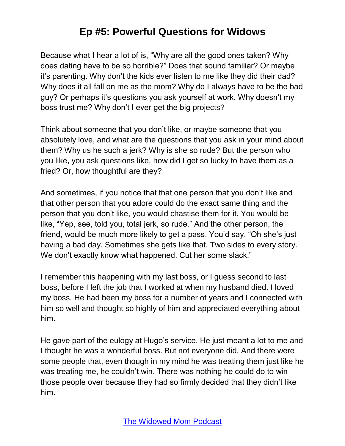Because what I hear a lot of is, "Why are all the good ones taken? Why does dating have to be so horrible?" Does that sound familiar? Or maybe it's parenting. Why don't the kids ever listen to me like they did their dad? Why does it all fall on me as the mom? Why do I always have to be the bad guy? Or perhaps it's questions you ask yourself at work. Why doesn't my boss trust me? Why don't I ever get the big projects?

Think about someone that you don't like, or maybe someone that you absolutely love, and what are the questions that you ask in your mind about them? Why us he such a jerk? Why is she so rude? But the person who you like, you ask questions like, how did I get so lucky to have them as a fried? Or, how thoughtful are they?

And sometimes, if you notice that that one person that you don't like and that other person that you adore could do the exact same thing and the person that you don't like, you would chastise them for it. You would be like, "Yep, see, told you, total jerk, so rude." And the other person, the friend, would be much more likely to get a pass. You'd say, "Oh she's just having a bad day. Sometimes she gets like that. Two sides to every story. We don't exactly know what happened. Cut her some slack."

I remember this happening with my last boss, or I guess second to last boss, before I left the job that I worked at when my husband died. I loved my boss. He had been my boss for a number of years and I connected with him so well and thought so highly of him and appreciated everything about him.

He gave part of the eulogy at Hugo's service. He just meant a lot to me and I thought he was a wonderful boss. But not everyone did. And there were some people that, even though in my mind he was treating them just like he was treating me, he couldn't win. There was nothing he could do to win those people over because they had so firmly decided that they didn't like him.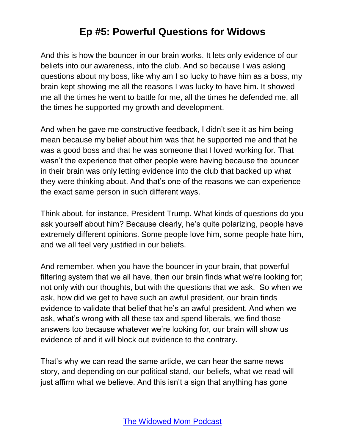And this is how the bouncer in our brain works. It lets only evidence of our beliefs into our awareness, into the club. And so because I was asking questions about my boss, like why am I so lucky to have him as a boss, my brain kept showing me all the reasons I was lucky to have him. It showed me all the times he went to battle for me, all the times he defended me, all the times he supported my growth and development.

And when he gave me constructive feedback, I didn't see it as him being mean because my belief about him was that he supported me and that he was a good boss and that he was someone that I loved working for. That wasn't the experience that other people were having because the bouncer in their brain was only letting evidence into the club that backed up what they were thinking about. And that's one of the reasons we can experience the exact same person in such different ways.

Think about, for instance, President Trump. What kinds of questions do you ask yourself about him? Because clearly, he's quite polarizing, people have extremely different opinions. Some people love him, some people hate him, and we all feel very justified in our beliefs.

And remember, when you have the bouncer in your brain, that powerful filtering system that we all have, then our brain finds what we're looking for; not only with our thoughts, but with the questions that we ask. So when we ask, how did we get to have such an awful president, our brain finds evidence to validate that belief that he's an awful president. And when we ask, what's wrong with all these tax and spend liberals, we find those answers too because whatever we're looking for, our brain will show us evidence of and it will block out evidence to the contrary.

That's why we can read the same article, we can hear the same news story, and depending on our political stand, our beliefs, what we read will just affirm what we believe. And this isn't a sign that anything has gone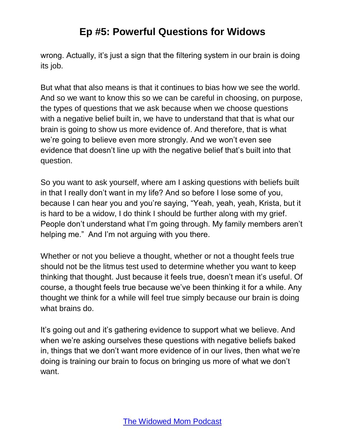wrong. Actually, it's just a sign that the filtering system in our brain is doing its job.

But what that also means is that it continues to bias how we see the world. And so we want to know this so we can be careful in choosing, on purpose, the types of questions that we ask because when we choose questions with a negative belief built in, we have to understand that that is what our brain is going to show us more evidence of. And therefore, that is what we're going to believe even more strongly. And we won't even see evidence that doesn't line up with the negative belief that's built into that question.

So you want to ask yourself, where am I asking questions with beliefs built in that I really don't want in my life? And so before I lose some of you, because I can hear you and you're saying, "Yeah, yeah, yeah, Krista, but it is hard to be a widow, I do think I should be further along with my grief. People don't understand what I'm going through. My family members aren't helping me." And I'm not arguing with you there.

Whether or not you believe a thought, whether or not a thought feels true should not be the litmus test used to determine whether you want to keep thinking that thought. Just because it feels true, doesn't mean it's useful. Of course, a thought feels true because we've been thinking it for a while. Any thought we think for a while will feel true simply because our brain is doing what brains do.

It's going out and it's gathering evidence to support what we believe. And when we're asking ourselves these questions with negative beliefs baked in, things that we don't want more evidence of in our lives, then what we're doing is training our brain to focus on bringing us more of what we don't want.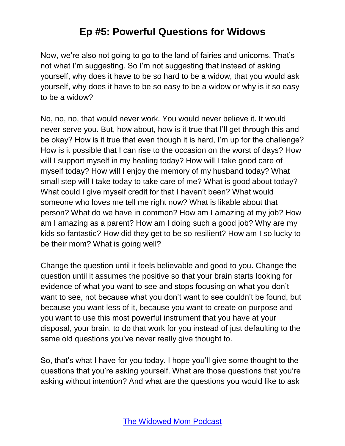Now, we're also not going to go to the land of fairies and unicorns. That's not what I'm suggesting. So I'm not suggesting that instead of asking yourself, why does it have to be so hard to be a widow, that you would ask yourself, why does it have to be so easy to be a widow or why is it so easy to be a widow?

No, no, no, that would never work. You would never believe it. It would never serve you. But, how about, how is it true that I'll get through this and be okay? How is it true that even though it is hard, I'm up for the challenge? How is it possible that I can rise to the occasion on the worst of days? How will I support myself in my healing today? How will I take good care of myself today? How will I enjoy the memory of my husband today? What small step will I take today to take care of me? What is good about today? What could I give myself credit for that I haven't been? What would someone who loves me tell me right now? What is likable about that person? What do we have in common? How am I amazing at my job? How am I amazing as a parent? How am I doing such a good job? Why are my kids so fantastic? How did they get to be so resilient? How am I so lucky to be their mom? What is going well?

Change the question until it feels believable and good to you. Change the question until it assumes the positive so that your brain starts looking for evidence of what you want to see and stops focusing on what you don't want to see, not because what you don't want to see couldn't be found, but because you want less of it, because you want to create on purpose and you want to use this most powerful instrument that you have at your disposal, your brain, to do that work for you instead of just defaulting to the same old questions you've never really give thought to.

So, that's what I have for you today. I hope you'll give some thought to the questions that you're asking yourself. What are those questions that you're asking without intention? And what are the questions you would like to ask